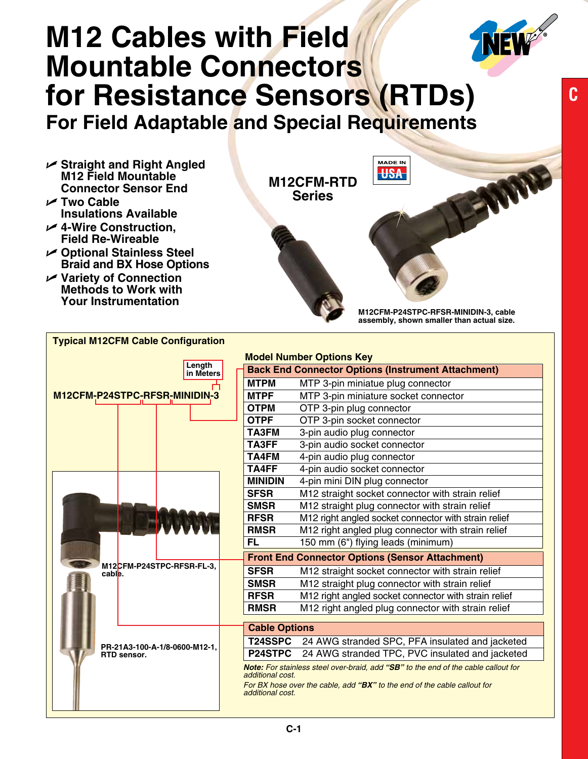## **M12 Cables with Field Mountable Connectors for Resistance Sensors (RTDs)**

**For Field Adaptable and Special Requirements**

- U **Straight and Right Angled M12 Field Mountable Connector Sensor End**
- U **Two Cable Insulations Available**
- U **4-Wire Construction, Field Re-Wireable**
- U **Optional Stainless Steel Braid and BX Hose Options**

**Typical M12CFM Cable Configuration**

U **Variety of Connection Methods to Work with Your Instrumentation**



**M12CFM-P24STPC-RFSR-MINIDIN-3, cable assembly, shown smaller than actual size.**

|                                              |  | Length                    |  |                                                           | <b>Model Number Options Key</b>                                                                                                                                |  |  |  |
|----------------------------------------------|--|---------------------------|--|-----------------------------------------------------------|----------------------------------------------------------------------------------------------------------------------------------------------------------------|--|--|--|
| in Meters                                    |  |                           |  | <b>Back End Connector Options (Instrument Attachment)</b> |                                                                                                                                                                |  |  |  |
|                                              |  |                           |  | <b>MTPM</b>                                               | MTP 3-pin miniatue plug connector                                                                                                                              |  |  |  |
| M12CFM-P24STPC-RFSR-MINIDIN-3                |  |                           |  | <b>MTPF</b>                                               | MTP 3-pin miniature socket connector                                                                                                                           |  |  |  |
|                                              |  |                           |  | <b>OTPM</b>                                               | OTP 3-pin plug connector                                                                                                                                       |  |  |  |
|                                              |  |                           |  | <b>OTPF</b>                                               | OTP 3-pin socket connector                                                                                                                                     |  |  |  |
|                                              |  |                           |  | TA3FM                                                     | 3-pin audio plug connector                                                                                                                                     |  |  |  |
|                                              |  |                           |  | TA3FF                                                     | 3-pin audio socket connector                                                                                                                                   |  |  |  |
|                                              |  |                           |  | <b>TA4FM</b>                                              | 4-pin audio plug connector                                                                                                                                     |  |  |  |
|                                              |  |                           |  | TA4FF                                                     | 4-pin audio socket connector                                                                                                                                   |  |  |  |
|                                              |  |                           |  | <b>MINIDIN</b>                                            | 4-pin mini DIN plug connector                                                                                                                                  |  |  |  |
|                                              |  |                           |  | <b>SFSR</b>                                               | M12 straight socket connector with strain relief                                                                                                               |  |  |  |
|                                              |  |                           |  | <b>SMSR</b>                                               | M12 straight plug connector with strain relief                                                                                                                 |  |  |  |
|                                              |  |                           |  | <b>RFSR</b>                                               | M12 right angled socket connector with strain relief                                                                                                           |  |  |  |
|                                              |  |                           |  | <b>RMSR</b>                                               | M12 right angled plug connector with strain relief                                                                                                             |  |  |  |
|                                              |  |                           |  | <b>FL</b>                                                 | 150 mm (6") flying leads (minimum)                                                                                                                             |  |  |  |
|                                              |  |                           |  | <b>Front End Connector Options (Sensor Attachment)</b>    |                                                                                                                                                                |  |  |  |
| cable.                                       |  | M12CFM-P24STPC-RFSR-FL-3. |  | <b>SFSR</b>                                               | M12 straight socket connector with strain relief                                                                                                               |  |  |  |
|                                              |  |                           |  | <b>SMSR</b>                                               | M12 straight plug connector with strain relief                                                                                                                 |  |  |  |
|                                              |  |                           |  | <b>RFSR</b>                                               | M12 right angled socket connector with strain relief                                                                                                           |  |  |  |
|                                              |  |                           |  | <b>RMSR</b>                                               | M12 right angled plug connector with strain relief                                                                                                             |  |  |  |
|                                              |  |                           |  | <b>Cable Options</b>                                      |                                                                                                                                                                |  |  |  |
| PR-21A3-100-A-1/8-0600-M12-1.<br>RTD sensor. |  |                           |  | <b>T24SSPC</b>                                            | 24 AWG stranded SPC, PFA insulated and jacketed                                                                                                                |  |  |  |
|                                              |  |                           |  | P24STPC                                                   | 24 AWG stranded TPC, PVC insulated and jacketed                                                                                                                |  |  |  |
|                                              |  |                           |  | additional cost.<br>additional cost.                      | Note: For stainless steel over-braid, add "SB" to the end of the cable callout for<br>For BX hose over the cable, add "BX" to the end of the cable callout for |  |  |  |